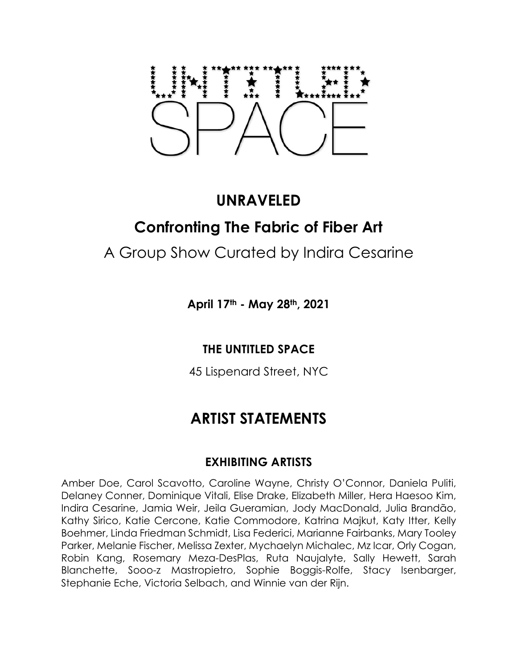# **UNRAVELED Confronting The Fabric of Fiber Art**

# A Group Show Curated by Indira Cesarine

**April 17th - May 28th, 2021**

### **THE UNTITLED SPACE**

45 Lispenard Street, NYC

# **ARTIST STATEMENTS**

### **EXHIBITING ARTISTS**

Amber Doe, Carol Scavotto, Caroline Wayne, Christy O'Connor, Daniela Puliti, Delaney Conner, Dominique Vitali, Elise Drake, Elizabeth Miller, Hera Haesoo Kim, Indira Cesarine, Jamia Weir, Jeila Gueramian, Jody MacDonald, Julia Brandão, Kathy Sirico, Katie Cercone, Katie Commodore, Katrina Majkut, Katy Itter, Kelly Boehmer, Linda Friedman Schmidt, Lisa Federici, Marianne Fairbanks, Mary Tooley Parker, Melanie Fischer, Melissa Zexter, Mychaelyn Michalec, Mz Icar, Orly Cogan, Robin Kang, Rosemary Meza-DesPlas, Ruta Naujalyte, Sally Hewett, Sarah Blanchette, Sooo-z Mastropietro, Sophie Boggis-Rolfe, Stacy Isenbarger, Stephanie Eche, Victoria Selbach, and Winnie van der Rijn.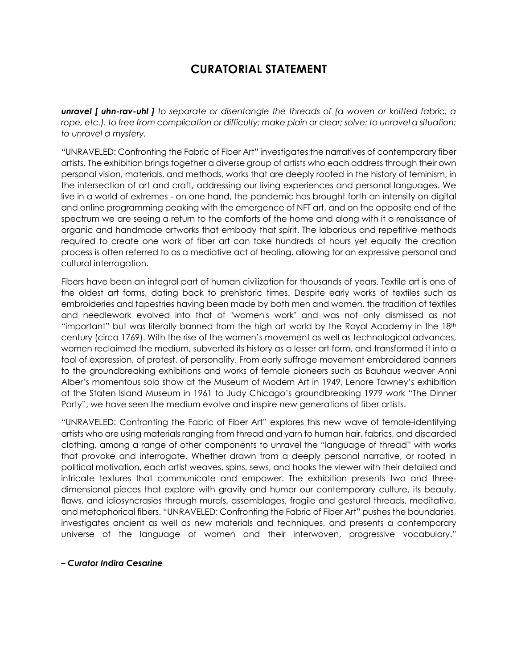## **CURATORIAL STATEMENT**

*unravel [ uhn-rav-uhl ] to separate or disentangle the threads of (a woven or knitted fabric, a rope, etc.). to free from complication or difficulty; make plain or clear; solve: to unravel a situation; to unravel a mystery.*

"UNRAVELED: Confronting the Fabric of Fiber Art" investigates the narratives of contemporary fiber artists. The exhibition brings together a diverse group of artists who each address through their own personal vision, materials, and methods, works that are deeply rooted in the history of feminism, in the intersection of art and craft, addressing our living experiences and personal languages. We live in a world of extremes - on one hand, the pandemic has brought forth an intensity on digital and online programming peaking with the emergence of NFT art, and on the opposite end of the spectrum we are seeing a return to the comforts of the home and along with it a renaissance of organic and handmade artworks that embody that spirit. The laborious and repetitive methods required to create one work of fiber art can take hundreds of hours yet equally the creation process is often referred to as a mediative act of healing, allowing for an expressive personal and cultural interrogation.

Fibers have been an integral part of human civilization for thousands of years. Textile art is one of the oldest art forms, dating back to prehistoric times. Despite early works of textiles such as embroideries and tapestries having been made by both men and women, the tradition of textiles and needlework evolved into that of "women's work" and was not only dismissed as not "important" but was literally banned from the high art world by the Royal Academy in the  $18<sup>th</sup>$ century (circa 1769). With the rise of the women's movement as well as technological advances, women reclaimed the medium, subverted its history as a lesser art form, and transformed it into a tool of expression, of protest, of personality. From early suffrage movement embroidered banners to the groundbreaking exhibitions and works of female pioneers such as Bauhaus weaver Anni Alber's momentous solo show at the Museum of Modern Art in 1949, Lenore Tawney's exhibition at the Staten Island Museum in 1961 to Judy Chicago's groundbreaking 1979 work "The Dinner Party", we have seen the medium evolve and inspire new generations of fiber artists.

"UNRAVELED: Confronting the Fabric of Fiber Art" explores this new wave of female-identifying artists who are using materials ranging from thread and yarn to human hair, fabrics, and discarded clothing, among a range of other components to unravel the "language of thread" with works that provoke and interrogate. Whether drawn from a deeply personal narrative, or rooted in political motivation, each artist weaves, spins, sews, and hooks the viewer with their detailed and intricate textures that communicate and empower. The exhibition presents two and threedimensional pieces that explore with gravity and humor our contemporary culture, its beauty, flaws, and idiosyncrasies through murals, assemblages, fragile and gestural threads, meditative, and metaphorical fibers. "UNRAVELED: Confronting the Fabric of Fiber Art" pushes the boundaries, investigates ancient as well as new materials and techniques, and presents a contemporary universe of the language of women and their interwoven, progressive vocabulary."

#### – *Curator Indira Cesarine*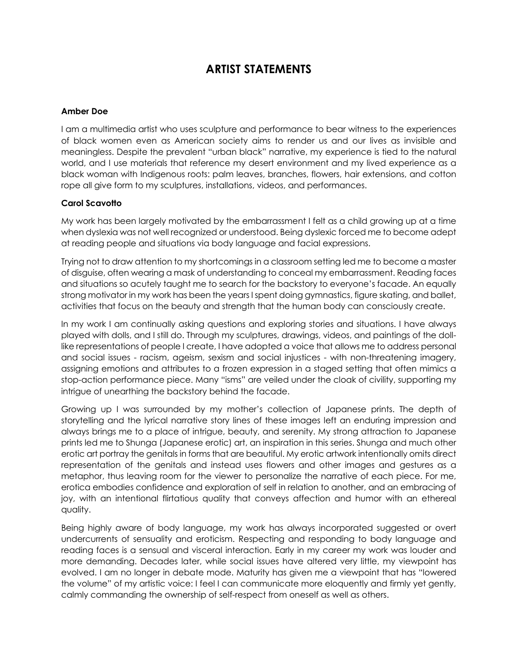# **ARTIST STATEMENTS**

#### **Amber Doe**

I am a multimedia artist who uses sculpture and performance to bear witness to the experiences of black women even as American society aims to render us and our lives as invisible and meaningless. Despite the prevalent "urban black" narrative, my experience is tied to the natural world, and I use materials that reference my desert environment and my lived experience as a black woman with Indigenous roots: palm leaves, branches, flowers, hair extensions, and cotton rope all give form to my sculptures, installations, videos, and performances.

#### **Carol Scavotto**

My work has been largely motivated by the embarrassment I felt as a child growing up at a time when dyslexia was not well recognized or understood. Being dyslexic forced me to become adept at reading people and situations via body language and facial expressions.

Trying not to draw attention to my shortcomings in a classroom setting led me to become a master of disguise, often wearing a mask of understanding to conceal my embarrassment. Reading faces and situations so acutely taught me to search for the backstory to everyone's facade. An equally strong motivator in my work has been the years I spent doing gymnastics, figure skating, and ballet, activities that focus on the beauty and strength that the human body can consciously create.

In my work I am continually asking questions and exploring stories and situations. I have always played with dolls, and I still do. Through my sculptures, drawings, videos, and paintings of the dolllike representations of people I create, I have adopted a voice that allows me to address personal and social issues - racism, ageism, sexism and social injustices - with non-threatening imagery, assigning emotions and attributes to a frozen expression in a staged setting that often mimics a stop-action performance piece. Many "isms" are veiled under the cloak of civility, supporting my intrigue of unearthing the backstory behind the facade.

Growing up I was surrounded by my mother's collection of Japanese prints. The depth of storytelling and the lyrical narrative story lines of these images left an enduring impression and always brings me to a place of intrigue, beauty, and serenity. My strong attraction to Japanese prints led me to Shunga (Japanese erotic) art, an inspiration in this series. Shunga and much other erotic art portray the genitals in forms that are beautiful. My erotic artwork intentionally omits direct representation of the genitals and instead uses flowers and other images and gestures as a metaphor, thus leaving room for the viewer to personalize the narrative of each piece. For me, erotica embodies confidence and exploration of self in relation to another, and an embracing of joy, with an intentional flirtatious quality that conveys affection and humor with an ethereal quality.

Being highly aware of body language, my work has always incorporated suggested or overt undercurrents of sensuality and eroticism. Respecting and responding to body language and reading faces is a sensual and visceral interaction. Early in my career my work was louder and more demanding. Decades later, while social issues have altered very little, my viewpoint has evolved. I am no longer in debate mode. Maturity has given me a viewpoint that has "lowered the volume" of my artistic voice: I feel I can communicate more eloquently and firmly yet gently, calmly commanding the ownership of self-respect from oneself as well as others.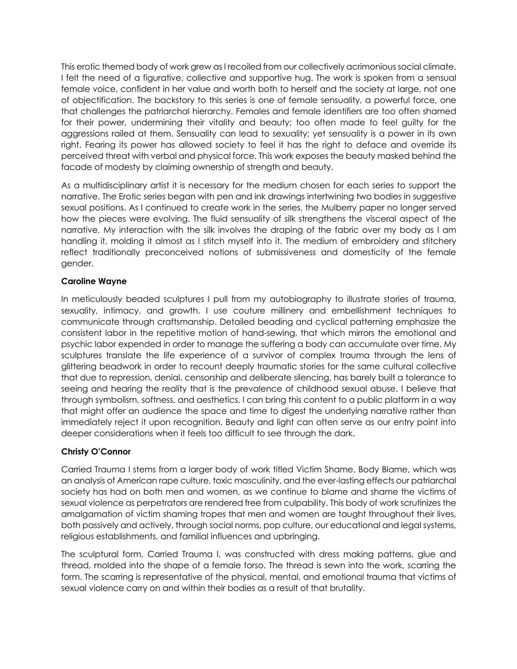This erotic themed body of work grew as I recoiled from our collectively acrimonious social climate. I felt the need of a figurative, collective and supportive hug. The work is spoken from a sensual female voice, confident in her value and worth both to herself and the society at large, not one of objectification. The backstory to this series is one of female sensuality, a powerful force, one that challenges the patriarchal hierarchy. Females and female identifiers are too often shamed for their power, undermining their vitality and beauty; too often made to feel guilty for the aggressions railed at them. Sensuality can lead to sexuality; yet sensuality is a power in its own right. Fearing its power has allowed society to feel it has the right to deface and override its perceived threat with verbal and physical force. This work exposes the beauty masked behind the facade of modesty by claiming ownership of strength and beauty.

As a multidisciplinary artist it is necessary for the medium chosen for each series to support the narrative. The Erotic series began with pen and ink drawings intertwining two bodies in suggestive sexual positions. As I continued to create work in the series, the Mulberry paper no longer served how the pieces were evolving. The fluid sensuality of silk strengthens the visceral aspect of the narrative. My interaction with the silk involves the draping of the fabric over my body as I am handling it, molding it almost as I stitch myself into it. The medium of embroidery and stitchery reflect traditionally preconceived notions of submissiveness and domesticity of the female gender.

#### **Caroline Wayne**

In meticulously beaded sculptures I pull from my autobiography to illustrate stories of trauma, sexuality, intimacy, and growth. I use couture millinery and embellishment techniques to communicate through craftsmanship. Detailed beading and cyclical patterning emphasize the consistent labor in the repetitive motion of hand-sewing, that which mirrors the emotional and psychic labor expended in order to manage the suffering a body can accumulate over time. My sculptures translate the life experience of a survivor of complex trauma through the lens of glittering beadwork in order to recount deeply traumatic stories for the same cultural collective that due to repression, denial, censorship and deliberate silencing, has barely built a tolerance to seeing and hearing the reality that is the prevalence of childhood sexual abuse. I believe that through symbolism, softness, and aesthetics, I can bring this content to a public platform in a way that might offer an audience the space and time to digest the underlying narrative rather than immediately reject it upon recognition. Beauty and light can often serve as our entry point into deeper considerations when it feels too difficult to see through the dark.

#### **Christy O'Connor**

Carried Trauma I stems from a larger body of work titled Victim Shame, Body Blame, which was an analysis of American rape culture, toxic masculinity, and the ever-lasting effects our patriarchal society has had on both men and women, as we continue to blame and shame the victims of sexual violence as perpetrators are rendered free from culpability. This body of work scrutinizes the amalgamation of victim shaming tropes that men and women are taught throughout their lives, both passively and actively, through social norms, pop culture, our educational and legal systems, religious establishments, and familial influences and upbringing.

The sculptural form, Carried Trauma I, was constructed with dress making patterns, glue and thread, molded into the shape of a female torso. The thread is sewn into the work, scarring the form. The scarring is representative of the physical, mental, and emotional trauma that victims of sexual violence carry on and within their bodies as a result of that brutality.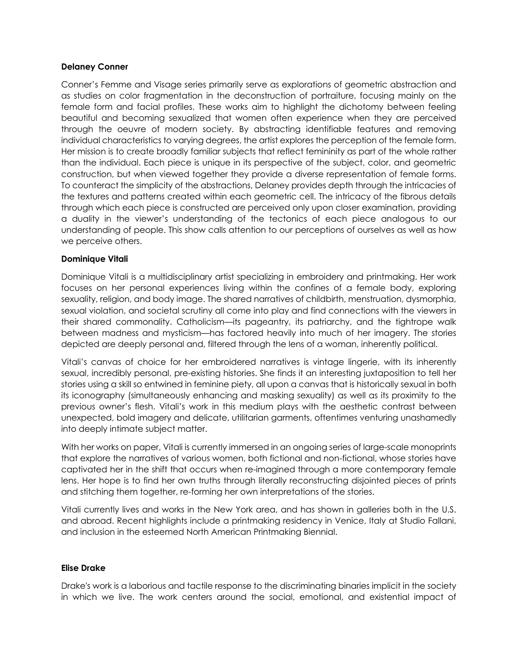#### **Delaney Conner**

Conner's Femme and Visage series primarily serve as explorations of geometric abstraction and as studies on color fragmentation in the deconstruction of portraiture, focusing mainly on the female form and facial profiles. These works aim to highlight the dichotomy between feeling beautiful and becoming sexualized that women often experience when they are perceived through the oeuvre of modern society. By abstracting identifiable features and removing individual characteristics to varying degrees, the artist explores the perception of the female form. Her mission is to create broadly familiar subjects that reflect femininity as part of the whole rather than the individual. Each piece is unique in its perspective of the subject, color, and geometric construction, but when viewed together they provide a diverse representation of female forms. To counteract the simplicity of the abstractions, Delaney provides depth through the intricacies of the textures and patterns created within each geometric cell. The intricacy of the fibrous details through which each piece is constructed are perceived only upon closer examination, providing a duality in the viewer's understanding of the tectonics of each piece analogous to our understanding of people. This show calls attention to our perceptions of ourselves as well as how we perceive others.

#### **Dominique Vitali**

Dominique Vitali is a multidisciplinary artist specializing in embroidery and printmaking. Her work focuses on her personal experiences living within the confines of a female body, exploring sexuality, religion, and body image. The shared narratives of childbirth, menstruation, dysmorphia, sexual violation, and societal scrutiny all come into play and find connections with the viewers in their shared commonality. Catholicism—its pageantry, its patriarchy, and the tightrope walk between madness and mysticism—has factored heavily into much of her imagery. The stories depicted are deeply personal and, filtered through the lens of a woman, inherently political.

Vitali's canvas of choice for her embroidered narratives is vintage lingerie, with its inherently sexual, incredibly personal, pre-existing histories. She finds it an interesting juxtaposition to tell her stories using a skill so entwined in feminine piety, all upon a canvas that is historically sexual in both its iconography (simultaneously enhancing and masking sexuality) as well as its proximity to the previous owner's flesh. Vitali's work in this medium plays with the aesthetic contrast between unexpected, bold imagery and delicate, utilitarian garments, oftentimes venturing unashamedly into deeply intimate subject matter.

With her works on paper, Vitali is currently immersed in an ongoing series of large-scale monoprints that explore the narratives of various women, both fictional and non-fictional, whose stories have captivated her in the shift that occurs when re-imagined through a more contemporary female lens. Her hope is to find her own truths through literally reconstructing disjointed pieces of prints and stitching them together, re-forming her own interpretations of the stories.

Vitali currently lives and works in the New York area, and has shown in galleries both in the U.S. and abroad. Recent highlights include a printmaking residency in Venice, Italy at Studio Fallani, and inclusion in the esteemed North American Printmaking Biennial.

#### **Elise Drake**

Drake's work is a laborious and tactile response to the discriminating binaries implicit in the society in which we live. The work centers around the social, emotional, and existential impact of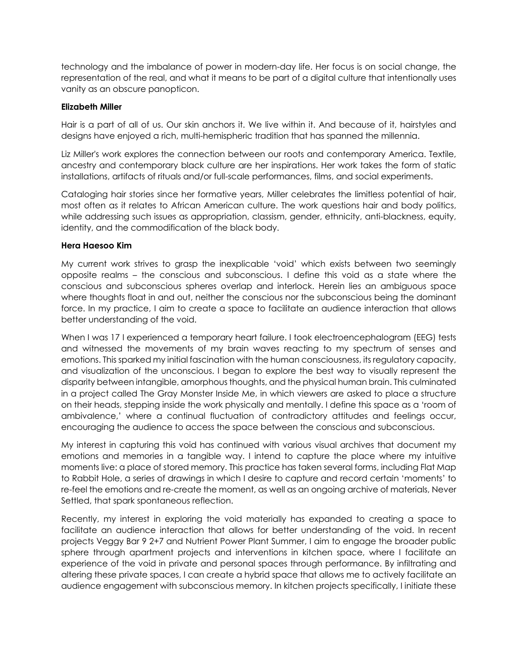technology and the imbalance of power in modern-day life. Her focus is on social change, the representation of the real, and what it means to be part of a digital culture that intentionally uses vanity as an obscure panopticon.

#### **Elizabeth Miller**

Hair is a part of all of us. Our skin anchors it. We live within it. And because of it, hairstyles and designs have enjoyed a rich, multi-hemispheric tradition that has spanned the millennia.

Liz Miller's work explores the connection between our roots and contemporary America. Textile, ancestry and contemporary black culture are her inspirations. Her work takes the form of static installations, artifacts of rituals and/or full-scale performances, films, and social experiments.

Cataloging hair stories since her formative years, Miller celebrates the limitless potential of hair, most often as it relates to African American culture. The work questions hair and body politics, while addressing such issues as appropriation, classism, gender, ethnicity, anti-blackness, equity, identity, and the commodification of the black body.

#### **Hera Haesoo Kim**

My current work strives to grasp the inexplicable 'void' which exists between two seemingly opposite realms – the conscious and subconscious. I define this void as a state where the conscious and subconscious spheres overlap and interlock. Herein lies an ambiguous space where thoughts float in and out, neither the conscious nor the subconscious being the dominant force. In my practice, I aim to create a space to facilitate an audience interaction that allows better understanding of the void.

When I was 17 I experienced a temporary heart failure. I took electroencephalogram (EEG) tests and witnessed the movements of my brain waves reacting to my spectrum of senses and emotions. This sparked my initial fascination with the human consciousness, its regulatory capacity, and visualization of the unconscious. I began to explore the best way to visually represent the disparity between intangible, amorphous thoughts, and the physical human brain. This culminated in a project called The Gray Monster Inside Me, in which viewers are asked to place a structure on their heads, stepping inside the work physically and mentally. I define this space as a 'room of ambivalence,' where a continual fluctuation of contradictory attitudes and feelings occur, encouraging the audience to access the space between the conscious and subconscious.

My interest in capturing this void has continued with various visual archives that document my emotions and memories in a tangible way. I intend to capture the place where my intuitive moments live: a place of stored memory. This practice has taken several forms, including Flat Map to Rabbit Hole, a series of drawings in which I desire to capture and record certain 'moments' to re-feel the emotions and re-create the moment, as well as an ongoing archive of materials, Never Settled, that spark spontaneous reflection.

Recently, my interest in exploring the void materially has expanded to creating a space to facilitate an audience interaction that allows for better understanding of the void. In recent projects Veggy Bar 9 2+7 and Nutrient Power Plant Summer, I aim to engage the broader public sphere through apartment projects and interventions in kitchen space, where I facilitate an experience of the void in private and personal spaces through performance. By infiltrating and altering these private spaces, I can create a hybrid space that allows me to actively facilitate an audience engagement with subconscious memory. In kitchen projects specifically, I initiate these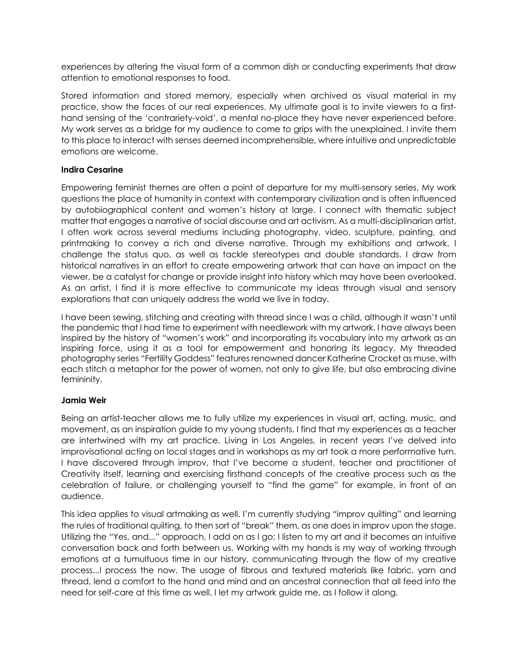experiences by altering the visual form of a common dish or conducting experiments that draw attention to emotional responses to food.

Stored information and stored memory, especially when archived as visual material in my practice, show the faces of our real experiences. My ultimate goal is to invite viewers to a firsthand sensing of the 'contrariety-void', a mental no-place they have never experienced before. My work serves as a bridge for my audience to come to grips with the unexplained. I invite them to this place to interact with senses deemed incomprehensible, where intuitive and unpredictable emotions are welcome.

#### **Indira Cesarine**

Empowering feminist themes are often a point of departure for my multi-sensory series. My work questions the place of humanity in context with contemporary civilization and is often influenced by autobiographical content and women's history at large. I connect with thematic subject matter that engages a narrative of social discourse and art activism. As a multi-disciplinarian artist, I often work across several mediums including photography, video, sculpture, painting, and printmaking to convey a rich and diverse narrative. Through my exhibitions and artwork, I challenge the status quo, as well as tackle stereotypes and double standards. I draw from historical narratives in an effort to create empowering artwork that can have an impact on the viewer, be a catalyst for change or provide insight into history which may have been overlooked. As an artist, I find it is more effective to communicate my ideas through visual and sensory explorations that can uniquely address the world we live in today.

I have been sewing, stitching and creating with thread since I was a child, although it wasn't until the pandemic that I had time to experiment with needlework with my artwork. I have always been inspired by the history of "women's work" and incorporating its vocabulary into my artwork as an inspiring force, using it as a tool for empowerment and honoring its legacy. My threaded photography series "Fertility Goddess" features renowned dancer Katherine Crocket as muse, with each stitch a metaphor for the power of women, not only to give life, but also embracing divine femininity.

#### **Jamia Weir**

Being an artist-teacher allows me to fully utilize my experiences in visual art, acting, music, and movement, as an inspiration guide to my young students. I find that my experiences as a teacher are intertwined with my art practice. Living in Los Angeles, in recent years I've delved into improvisational acting on local stages and in workshops as my art took a more performative turn. I have discovered through improv, that I've become a student, teacher and practitioner of Creativity itself, learning and exercising firsthand concepts of the creative process such as the celebration of failure, or challenging yourself to "find the game" for example, in front of an audience.

This idea applies to visual artmaking as well. I'm currently studying "improv quilting" and learning the rules of traditional quilting, to then sort of "break" them, as one does in improv upon the stage. Utilizing the "Yes, and..." approach, I add on as I go; I listen to my art and it becomes an intuitive conversation back and forth between us. Working with my hands is my way of working through emotions at a tumultuous time in our history, communicating through the flow of my creative process...I process the now. The usage of fibrous and textured materials like fabric, yarn and thread, lend a comfort to the hand and mind and an ancestral connection that all feed into the need for self-care at this time as well. I let my artwork guide me, as I follow it along.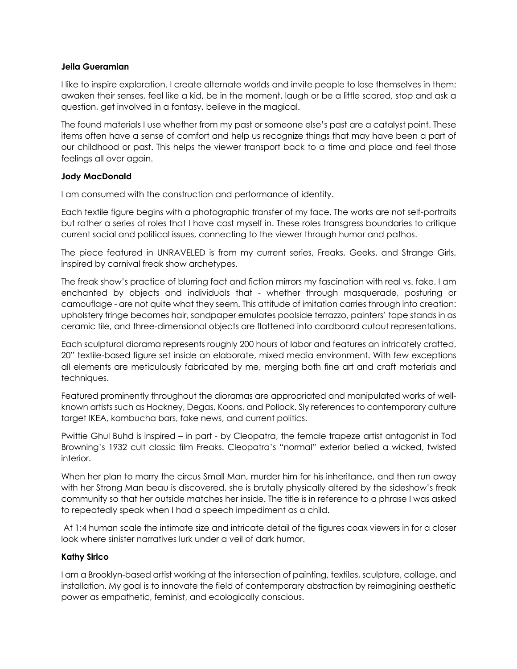#### **Jeila Gueramian**

I like to inspire exploration. I create alternate worlds and invite people to lose themselves in them: awaken their senses, feel like a kid, be in the moment, laugh or be a little scared, stop and ask a question, get involved in a fantasy, believe in the magical.

The found materials I use whether from my past or someone else's past are a catalyst point. These items often have a sense of comfort and help us recognize things that may have been a part of our childhood or past. This helps the viewer transport back to a time and place and feel those feelings all over again.

#### **Jody MacDonald**

I am consumed with the construction and performance of identity.

Each textile figure begins with a photographic transfer of my face. The works are not self-portraits but rather a series of roles that I have cast myself in. These roles transgress boundaries to critique current social and political issues, connecting to the viewer through humor and pathos.

The piece featured in UNRAVELED is from my current series, Freaks, Geeks, and Strange Girls, inspired by carnival freak show archetypes.

The freak show's practice of blurring fact and fiction mirrors my fascination with real vs. fake. I am enchanted by objects and individuals that - whether through masquerade, posturing or camouflage - are not quite what they seem. This attitude of imitation carries through into creation: upholstery fringe becomes hair, sandpaper emulates poolside terrazzo, painters' tape stands in as ceramic tile, and three-dimensional objects are flattened into cardboard cutout representations.

Each sculptural diorama represents roughly 200 hours of labor and features an intricately crafted, 20" textile-based figure set inside an elaborate, mixed media environment. With few exceptions all elements are meticulously fabricated by me, merging both fine art and craft materials and techniques.

Featured prominently throughout the dioramas are appropriated and manipulated works of wellknown artists such as Hockney, Degas, Koons, and Pollock. Sly references to contemporary culture target IKEA, kombucha bars, fake news, and current politics.

Pwittie Ghul Buhd is inspired – in part - by Cleopatra, the female trapeze artist antagonist in Tod Browning's 1932 cult classic film Freaks. Cleopatra's "normal" exterior belied a wicked, twisted interior.

When her plan to marry the circus Small Man, murder him for his inheritance, and then run away with her Strong Man beau is discovered, she is brutally physically altered by the sideshow's freak community so that her outside matches her inside. The title is in reference to a phrase I was asked to repeatedly speak when I had a speech impediment as a child.

At 1:4 human scale the intimate size and intricate detail of the figures coax viewers in for a closer look where sinister narratives lurk under a veil of dark humor.

#### **Kathy Sirico**

I am a Brooklyn-based artist working at the intersection of painting, textiles, sculpture, collage, and installation. My goal is to innovate the field of contemporary abstraction by reimagining aesthetic power as empathetic, feminist, and ecologically conscious.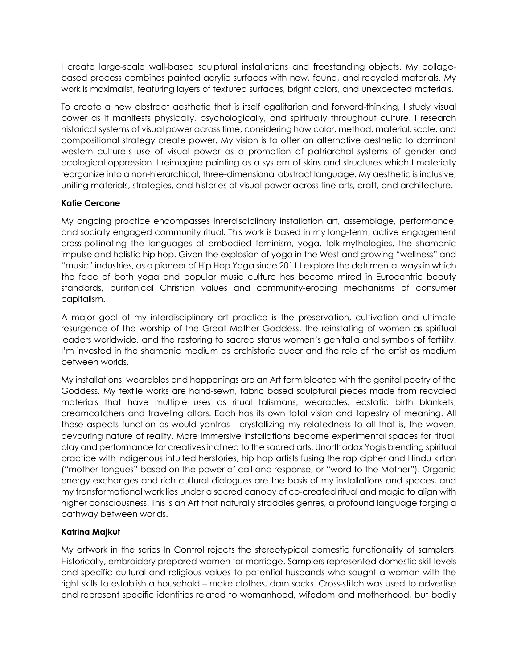I create large-scale wall-based sculptural installations and freestanding objects. My collagebased process combines painted acrylic surfaces with new, found, and recycled materials. My work is maximalist, featuring layers of textured surfaces, bright colors, and unexpected materials.

To create a new abstract aesthetic that is itself egalitarian and forward-thinking, I study visual power as it manifests physically, psychologically, and spiritually throughout culture. I research historical systems of visual power across time, considering how color, method, material, scale, and compositional strategy create power. My vision is to offer an alternative aesthetic to dominant western culture's use of visual power as a promotion of patriarchal systems of gender and ecological oppression. I reimagine painting as a system of skins and structures which I materially reorganize into a non-hierarchical, three-dimensional abstract language. My aesthetic is inclusive, uniting materials, strategies, and histories of visual power across fine arts, craft, and architecture.

#### **Katie Cercone**

My ongoing practice encompasses interdisciplinary installation art, assemblage, performance, and socially engaged community ritual. This work is based in my long-term, active engagement cross-pollinating the languages of embodied feminism, yoga, folk-mythologies, the shamanic impulse and holistic hip hop. Given the explosion of yoga in the West and growing "wellness" and "music" industries, as a pioneer of Hip Hop Yoga since 2011 I explore the detrimental ways in which the face of both yoga and popular music culture has become mired in Eurocentric beauty standards, puritanical Christian values and community-eroding mechanisms of consumer capitalism.

A major goal of my interdisciplinary art practice is the preservation, cultivation and ultimate resurgence of the worship of the Great Mother Goddess, the reinstating of women as spiritual leaders worldwide, and the restoring to sacred status women's genitalia and symbols of fertility. I'm invested in the shamanic medium as prehistoric queer and the role of the artist as medium between worlds.

My installations, wearables and happenings are an Art form bloated with the genital poetry of the Goddess. My textile works are hand-sewn, fabric based sculptural pieces made from recycled materials that have multiple uses as ritual talismans, wearables, ecstatic birth blankets, dreamcatchers and traveling altars. Each has its own total vision and tapestry of meaning. All these aspects function as would yantras - crystallizing my relatedness to all that is, the woven, devouring nature of reality. More immersive installations become experimental spaces for ritual, play and performance for creatives inclined to the sacred arts. Unorthodox Yogis blending spiritual practice with indigenous intuited herstories, hip hop artists fusing the rap cipher and Hindu kirtan ("mother tongues" based on the power of call and response, or "word to the Mother"). Organic energy exchanges and rich cultural dialogues are the basis of my installations and spaces, and my transformational work lies under a sacred canopy of co-created ritual and magic to align with higher consciousness. This is an Art that naturally straddles genres, a profound language forging a pathway between worlds.

#### **Katrina Majkut**

My artwork in the series In Control rejects the stereotypical domestic functionality of samplers. Historically, embroidery prepared women for marriage. Samplers represented domestic skill levels and specific cultural and religious values to potential husbands who sought a woman with the right skills to establish a household – make clothes, darn socks. Cross-stitch was used to advertise and represent specific identities related to womanhood, wifedom and motherhood, but bodily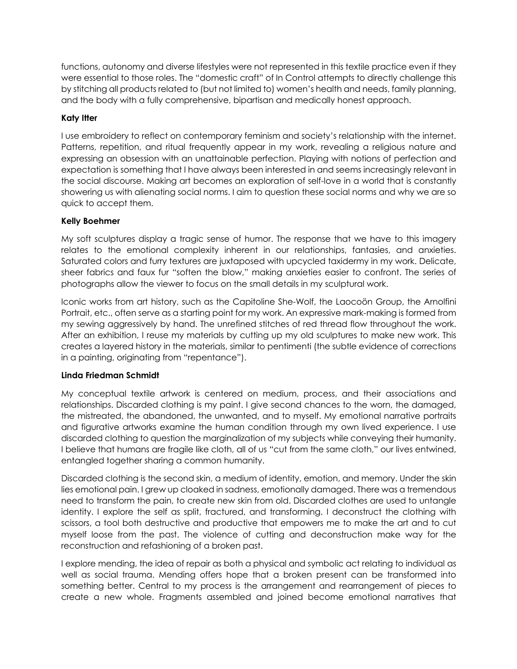functions, autonomy and diverse lifestyles were not represented in this textile practice even if they were essential to those roles. The "domestic craft" of In Control attempts to directly challenge this by stitching all products related to (but not limited to) women's health and needs, family planning, and the body with a fully comprehensive, bipartisan and medically honest approach.

#### **Katy Itter**

I use embroidery to reflect on contemporary feminism and society's relationship with the internet. Patterns, repetition, and ritual frequently appear in my work, revealing a religious nature and expressing an obsession with an unattainable perfection. Playing with notions of perfection and expectation is something that I have always been interested in and seems increasingly relevant in the social discourse. Making art becomes an exploration of self-love in a world that is constantly showering us with alienating social norms. I aim to question these social norms and why we are so quick to accept them.

#### **Kelly Boehmer**

My soft sculptures display a tragic sense of humor. The response that we have to this imagery relates to the emotional complexity inherent in our relationships, fantasies, and anxieties. Saturated colors and furry textures are juxtaposed with upcycled taxidermy in my work. Delicate, sheer fabrics and faux fur "soften the blow," making anxieties easier to confront. The series of photographs allow the viewer to focus on the small details in my sculptural work.

Iconic works from art history, such as the Capitoline She-Wolf, the Laocoön Group, the Arnolfini Portrait, etc., often serve as a starting point for my work. An expressive mark-making is formed from my sewing aggressively by hand. The unrefined stitches of red thread flow throughout the work. After an exhibition, I reuse my materials by cutting up my old sculptures to make new work. This creates a layered history in the materials, similar to pentimenti (the subtle evidence of corrections in a painting, originating from "repentance").

#### **Linda Friedman Schmidt**

My conceptual textile artwork is centered on medium, process, and their associations and relationships. Discarded clothing is my paint. I give second chances to the worn, the damaged, the mistreated, the abandoned, the unwanted, and to myself. My emotional narrative portraits and figurative artworks examine the human condition through my own lived experience. I use discarded clothing to question the marginalization of my subjects while conveying their humanity. I believe that humans are fragile like cloth, all of us "cut from the same cloth," our lives entwined, entangled together sharing a common humanity.

Discarded clothing is the second skin, a medium of identity, emotion, and memory. Under the skin lies emotional pain. I grew up cloaked in sadness, emotionally damaged. There was a tremendous need to transform the pain, to create new skin from old. Discarded clothes are used to untangle identity. I explore the self as split, fractured, and transforming. I deconstruct the clothing with scissors, a tool both destructive and productive that empowers me to make the art and to cut myself loose from the past. The violence of cutting and deconstruction make way for the reconstruction and refashioning of a broken past.

I explore mending, the idea of repair as both a physical and symbolic act relating to individual as well as social trauma. Mending offers hope that a broken present can be transformed into something better. Central to my process is the arrangement and rearrangement of pieces to create a new whole. Fragments assembled and joined become emotional narratives that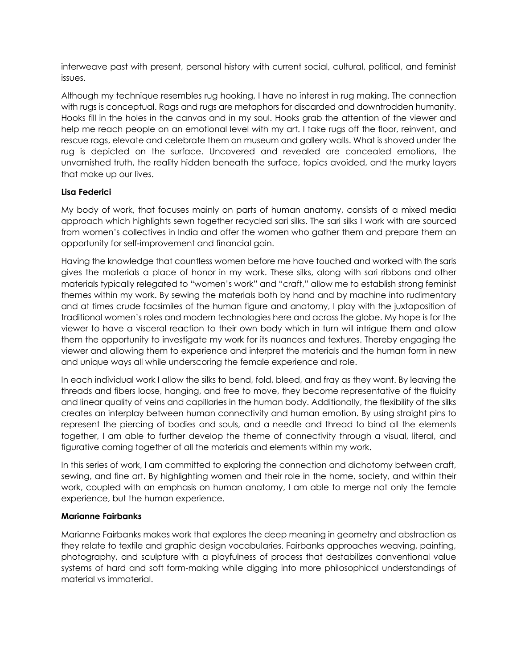interweave past with present, personal history with current social, cultural, political, and feminist issues.

Although my technique resembles rug hooking, I have no interest in rug making. The connection with rugs is conceptual. Rags and rugs are metaphors for discarded and downtrodden humanity. Hooks fill in the holes in the canvas and in my soul. Hooks grab the attention of the viewer and help me reach people on an emotional level with my art. I take rugs off the floor, reinvent, and rescue rags, elevate and celebrate them on museum and gallery walls. What is shoved under the rug is depicted on the surface. Uncovered and revealed are concealed emotions, the unvarnished truth, the reality hidden beneath the surface, topics avoided, and the murky layers that make up our lives.

#### **Lisa Federici**

My body of work, that focuses mainly on parts of human anatomy, consists of a mixed media approach which highlights sewn together recycled sari silks. The sari silks I work with are sourced from women's collectives in India and offer the women who gather them and prepare them an opportunity for self-improvement and financial gain.

Having the knowledge that countless women before me have touched and worked with the saris gives the materials a place of honor in my work. These silks, along with sari ribbons and other materials typically relegated to "women's work" and "craft," allow me to establish strong feminist themes within my work. By sewing the materials both by hand and by machine into rudimentary and at times crude facsimiles of the human figure and anatomy, I play with the juxtaposition of traditional women's roles and modern technologies here and across the globe. My hope is for the viewer to have a visceral reaction to their own body which in turn will intrigue them and allow them the opportunity to investigate my work for its nuances and textures. Thereby engaging the viewer and allowing them to experience and interpret the materials and the human form in new and unique ways all while underscoring the female experience and role.

In each individual work I allow the silks to bend, fold, bleed, and fray as they want. By leaving the threads and fibers loose, hanging, and free to move, they become representative of the fluidity and linear quality of veins and capillaries in the human body. Additionally, the flexibility of the silks creates an interplay between human connectivity and human emotion. By using straight pins to represent the piercing of bodies and souls, and a needle and thread to bind all the elements together, I am able to further develop the theme of connectivity through a visual, literal, and figurative coming together of all the materials and elements within my work.

In this series of work, I am committed to exploring the connection and dichotomy between craft, sewing, and fine art. By highlighting women and their role in the home, society, and within their work, coupled with an emphasis on human anatomy, I am able to merge not only the female experience, but the human experience.

#### **Marianne Fairbanks**

Marianne Fairbanks makes work that explores the deep meaning in geometry and abstraction as they relate to textile and graphic design vocabularies. Fairbanks approaches weaving, painting, photography, and sculpture with a playfulness of process that destabilizes conventional value systems of hard and soft form-making while digging into more philosophical understandings of material vs immaterial.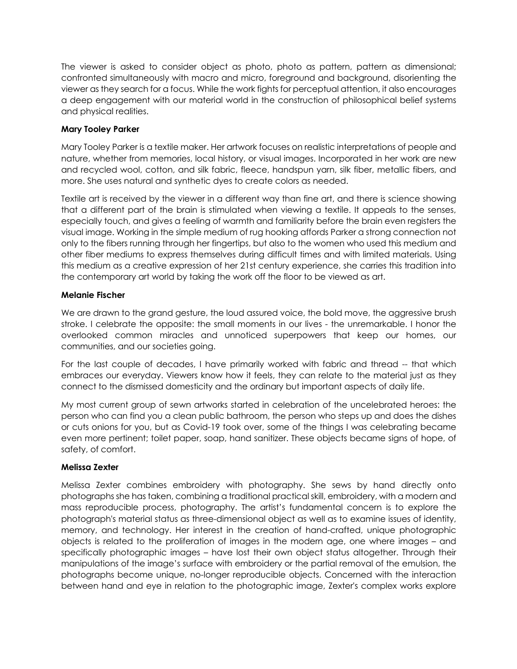The viewer is asked to consider object as photo, photo as pattern, pattern as dimensional; confronted simultaneously with macro and micro, foreground and background, disorienting the viewer as they search for a focus. While the work fights for perceptual attention, it also encourages a deep engagement with our material world in the construction of philosophical belief systems and physical realities.

#### **Mary Tooley Parker**

Mary Tooley Parker is a textile maker. Her artwork focuses on realistic interpretations of people and nature, whether from memories, local history, or visual images. Incorporated in her work are new and recycled wool, cotton, and silk fabric, fleece, handspun yarn, silk fiber, metallic fibers, and more. She uses natural and synthetic dyes to create colors as needed.

Textile art is received by the viewer in a different way than fine art, and there is science showing that a different part of the brain is stimulated when viewing a textile. It appeals to the senses, especially touch, and gives a feeling of warmth and familiarity before the brain even registers the visual image. Working in the simple medium of rug hooking affords Parker a strong connection not only to the fibers running through her fingertips, but also to the women who used this medium and other fiber mediums to express themselves during difficult times and with limited materials. Using this medium as a creative expression of her 21st century experience, she carries this tradition into the contemporary art world by taking the work off the floor to be viewed as art.

#### **Melanie Fischer**

We are drawn to the grand gesture, the loud assured voice, the bold move, the aggressive brush stroke. I celebrate the opposite: the small moments in our lives - the unremarkable. I honor the overlooked common miracles and unnoticed superpowers that keep our homes, our communities, and our societies going.

For the last couple of decades, I have primarily worked with fabric and thread -- that which embraces our everyday. Viewers know how it feels, they can relate to the material just as they connect to the dismissed domesticity and the ordinary but important aspects of daily life.

My most current group of sewn artworks started in celebration of the uncelebrated heroes: the person who can find you a clean public bathroom, the person who steps up and does the dishes or cuts onions for you, but as Covid-19 took over, some of the things I was celebrating became even more pertinent; toilet paper, soap, hand sanitizer. These objects became signs of hope, of safety, of comfort.

#### **Melissa Zexter**

Melissa Zexter combines embroidery with photography. She sews by hand directly onto photographs she has taken, combining a traditional practical skill, embroidery, with a modern and mass reproducible process, photography. The artist's fundamental concern is to explore the photograph's material status as three-dimensional object as well as to examine issues of identity, memory, and technology. Her interest in the creation of hand-crafted, unique photographic objects is related to the proliferation of images in the modern age, one where images – and specifically photographic images – have lost their own object status altogether. Through their manipulations of the image's surface with embroidery or the partial removal of the emulsion, the photographs become unique, no-longer reproducible objects. Concerned with the interaction between hand and eye in relation to the photographic image, Zexter's complex works explore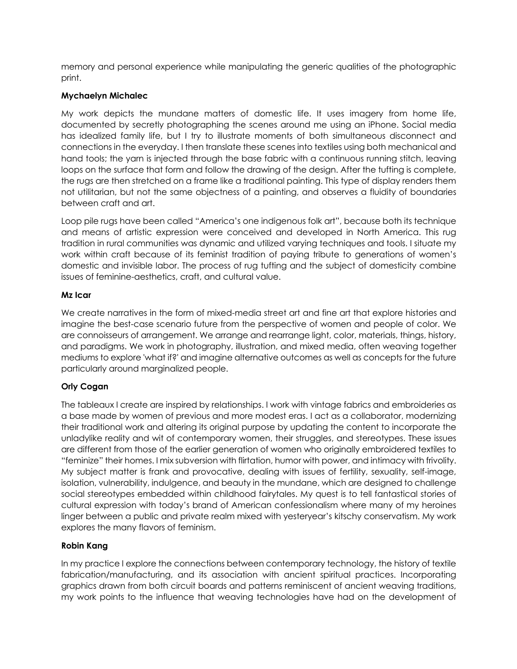memory and personal experience while manipulating the generic qualities of the photographic print.

#### **Mychaelyn Michalec**

My work depicts the mundane matters of domestic life. It uses imagery from home life, documented by secretly photographing the scenes around me using an iPhone. Social media has idealized family life, but I try to illustrate moments of both simultaneous disconnect and connections in the everyday. I then translate these scenes into textiles using both mechanical and hand tools; the yarn is injected through the base fabric with a continuous running stitch, leaving loops on the surface that form and follow the drawing of the design. After the tufting is complete, the rugs are then stretched on a frame like a traditional painting. This type of display renders them not utilitarian, but not the same objectness of a painting, and observes a fluidity of boundaries between craft and art.

Loop pile rugs have been called "America's one indigenous folk art", because both its technique and means of artistic expression were conceived and developed in North America. This rug tradition in rural communities was dynamic and utilized varying techniques and tools. I situate my work within craft because of its feminist tradition of paying tribute to generations of women's domestic and invisible labor. The process of rug tufting and the subject of domesticity combine issues of feminine-aesthetics, craft, and cultural value.

#### **Mz Icar**

We create narratives in the form of mixed-media street art and fine art that explore histories and imagine the best-case scenario future from the perspective of women and people of color. We are connoisseurs of arrangement. We arrange and rearrange light, color, materials, things, history, and paradigms. We work in photography, illustration, and mixed media, often weaving together mediums to explore 'what if?' and imagine alternative outcomes as well as concepts for the future particularly around marginalized people.

#### **Orly Cogan**

The tableaux I create are inspired by relationships. I work with vintage fabrics and embroideries as a base made by women of previous and more modest eras. I act as a collaborator, modernizing their traditional work and altering its original purpose by updating the content to incorporate the unladylike reality and wit of contemporary women, their struggles, and stereotypes. These issues are different from those of the earlier generation of women who originally embroidered textiles to "feminize" their homes. I mix subversion with flirtation, humor with power, and intimacy with frivolity. My subject matter is frank and provocative, dealing with issues of fertility, sexuality, self-image, isolation, vulnerability, indulgence, and beauty in the mundane, which are designed to challenge social stereotypes embedded within childhood fairytales. My quest is to tell fantastical stories of cultural expression with today's brand of American confessionalism where many of my heroines linger between a public and private realm mixed with yesteryear's kitschy conservatism. My work explores the many flavors of feminism.

#### **Robin Kang**

In my practice I explore the connections between contemporary technology, the history of textile fabrication/manufacturing, and its association with ancient spiritual practices. Incorporating graphics drawn from both circuit boards and patterns reminiscent of ancient weaving traditions, my work points to the influence that weaving technologies have had on the development of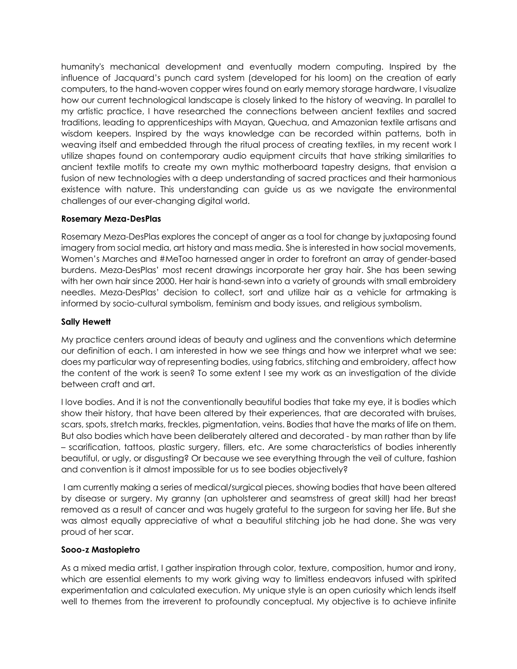humanity's mechanical development and eventually modern computing. Inspired by the influence of Jacquard's punch card system (developed for his loom) on the creation of early computers, to the hand-woven copper wires found on early memory storage hardware, I visualize how our current technological landscape is closely linked to the history of weaving. In parallel to my artistic practice, I have researched the connections between ancient textiles and sacred traditions, leading to apprenticeships with Mayan, Quechua, and Amazonian textile artisans and wisdom keepers. Inspired by the ways knowledge can be recorded within patterns, both in weaving itself and embedded through the ritual process of creating textiles, in my recent work I utilize shapes found on contemporary audio equipment circuits that have striking similarities to ancient textile motifs to create my own mythic motherboard tapestry designs, that envision a fusion of new technologies with a deep understanding of sacred practices and their harmonious existence with nature. This understanding can guide us as we navigate the environmental challenges of our ever-changing digital world.

#### **Rosemary Meza-DesPlas**

Rosemary Meza-DesPlas explores the concept of anger as a tool for change by juxtaposing found imagery from social media, art history and mass media. She is interested in how social movements, Women's Marches and #MeToo harnessed anger in order to forefront an array of gender-based burdens. Meza-DesPlas' most recent drawings incorporate her gray hair. She has been sewing with her own hair since 2000. Her hair is hand-sewn into a variety of grounds with small embroidery needles. Meza-DesPlas' decision to collect, sort and utilize hair as a vehicle for artmaking is informed by socio-cultural symbolism, feminism and body issues, and religious symbolism.

#### **Sally Hewett**

My practice centers around ideas of beauty and ugliness and the conventions which determine our definition of each. I am interested in how we see things and how we interpret what we see: does my particular way of representing bodies, using fabrics, stitching and embroidery, affect how the content of the work is seen? To some extent I see my work as an investigation of the divide between craft and art.

I love bodies. And it is not the conventionally beautiful bodies that take my eye, it is bodies which show their history, that have been altered by their experiences, that are decorated with bruises, scars, spots, stretch marks, freckles, pigmentation, veins. Bodies that have the marks of life on them. But also bodies which have been deliberately altered and decorated - by man rather than by life – scarification, tattoos, plastic surgery, fillers, etc. Are some characteristics of bodies inherently beautiful, or ugly, or disgusting? Or because we see everything through the veil of culture, fashion and convention is it almost impossible for us to see bodies objectively?

I am currently making a series of medical/surgical pieces, showing bodies that have been altered by disease or surgery. My granny (an upholsterer and seamstress of great skill) had her breast removed as a result of cancer and was hugely grateful to the surgeon for saving her life. But she was almost equally appreciative of what a beautiful stitching job he had done. She was very proud of her scar.

#### **Sooo-z Mastopietro**

As a mixed media artist, I gather inspiration through color, texture, composition, humor and irony, which are essential elements to my work giving way to limitless endeavors infused with spirited experimentation and calculated execution. My unique style is an open curiosity which lends itself well to themes from the irreverent to profoundly conceptual. My objective is to achieve infinite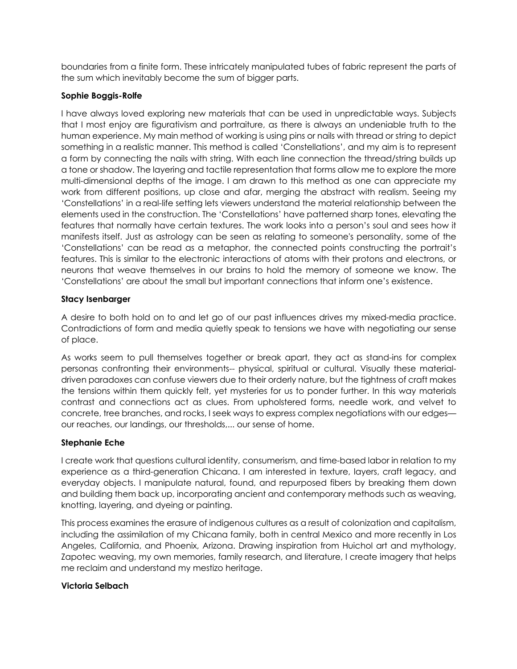boundaries from a finite form. These intricately manipulated tubes of fabric represent the parts of the sum which inevitably become the sum of bigger parts.

#### **Sophie Boggis-Rolfe**

I have always loved exploring new materials that can be used in unpredictable ways. Subjects that I most enjoy are figurativism and portraiture, as there is always an undeniable truth to the human experience. My main method of working is using pins or nails with thread or string to depict something in a realistic manner. This method is called 'Constellations', and my aim is to represent a form by connecting the nails with string. With each line connection the thread/string builds up a tone or shadow. The layering and tactile representation that forms allow me to explore the more multi-dimensional depths of the image. I am drawn to this method as one can appreciate my work from different positions, up close and afar, merging the abstract with realism. Seeing my 'Constellations' in a real-life setting lets viewers understand the material relationship between the elements used in the construction. The 'Constellations' have patterned sharp tones, elevating the features that normally have certain textures. The work looks into a person's soul and sees how it manifests itself. Just as astrology can be seen as relating to someone's personality, some of the 'Constellations' can be read as a metaphor, the connected points constructing the portrait's features. This is similar to the electronic interactions of atoms with their protons and electrons, or neurons that weave themselves in our brains to hold the memory of someone we know. The 'Constellations' are about the small but important connections that inform one's existence.

#### **Stacy Isenbarger**

A desire to both hold on to and let go of our past influences drives my mixed-media practice. Contradictions of form and media quietly speak to tensions we have with negotiating our sense of place.

As works seem to pull themselves together or break apart, they act as stand-ins for complex personas confronting their environments-- physical, spiritual or cultural. Visually these materialdriven paradoxes can confuse viewers due to their orderly nature, but the tightness of craft makes the tensions within them quickly felt, yet mysteries for us to ponder further. In this way materials contrast and connections act as clues. From upholstered forms, needle work, and velvet to concrete, tree branches, and rocks, I seek ways to express complex negotiations with our edges our reaches, our landings, our thresholds,... our sense of home.

#### **Stephanie Eche**

I create work that questions cultural identity, consumerism, and time-based labor in relation to my experience as a third-generation Chicana. I am interested in texture, layers, craft legacy, and everyday objects. I manipulate natural, found, and repurposed fibers by breaking them down and building them back up, incorporating ancient and contemporary methods such as weaving, knotting, layering, and dyeing or painting.

This process examines the erasure of indigenous cultures as a result of colonization and capitalism, including the assimilation of my Chicana family, both in central Mexico and more recently in Los Angeles, California, and Phoenix, Arizona. Drawing inspiration from Huichol art and mythology, Zapotec weaving, my own memories, family research, and literature, I create imagery that helps me reclaim and understand my mestizo heritage.

#### **Victoria Selbach**